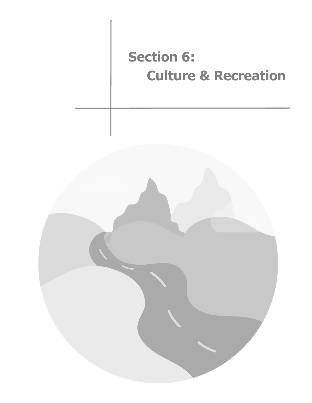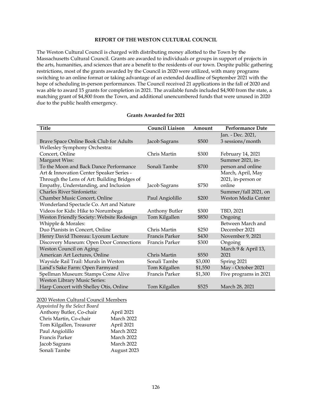### **REPORT OF THE WESTON CULTURAL COUNCIL**

The Weston Cultural Council is charged with distributing money allotted to the Town by the Massachusetts Cultural Council. Grants are awarded to individuals or groups in support of projects in the arts, humanities, and sciences that are a benefit to the residents of our town. Despite public gathering restrictions, most of the grants awarded by the Council in 2020 were utilized, with many programs switching to an online format or taking advantage of an extended deadline of September 2021 with the hope of scheduling in-person performances. The Council received 21 applications in the fall of 2020 and was able to award 15 grants for completion in 2021. The available funds included \$4,900 from the state, a matching grant of \$4,800 from the Town, and additional unencumbered funds that were unused in 2020 due to the public health emergency.

| <b>Title</b>                                 | <b>Council Liaison</b> | Amount  | <b>Performance Date</b>    |
|----------------------------------------------|------------------------|---------|----------------------------|
|                                              |                        |         | Jan. - Dec. 2021,          |
| Brave Space Online Book Club for Adults      | Jacob Sagrans          | \$500   | 3 sessions/month           |
| Wellesley Symphony Orchestra:                |                        |         |                            |
| Concert, Online                              | Chris Martin           | \$300   | February 14, 2021          |
| Margaret Wiss:                               |                        |         | Summer 2021, in-           |
| To the Moon and Back Dance Performance       | Sonali Tambe           | \$700   | person and online          |
| Art & Innovation Center Speaker Series -     |                        |         | March, April, May          |
| Through the Lens of Art: Building Bridges of |                        |         | 2021, in-person or         |
| Empathy, Understanding, and Inclusion        | Jacob Sagrans          | \$750   | online                     |
| <b>Charles River Sinfonietta:</b>            |                        |         | Summer/fall 2021, on       |
| Chamber Music Concert, Online                | Paul Angiolillo        | \$200   | <b>Weston Media Center</b> |
| Wonderland Spectacle Co. Art and Nature      |                        |         |                            |
| Videos for Kids: Hike to Norumbega           | Anthony Butler         | \$300   | TBD, 2021                  |
| Weston Friendly Society: Website Redesign    | Tom Kilgallen          | \$850   | Ongoing                    |
| Whipple & Morales:                           |                        |         | Between March and          |
| Duo Pianists in Concert, Online              | Chris Martin           | \$250   | December 2021              |
| Henry David Thoreau: Lyceum Lecture          | Francis Parker         | \$430   | November 9, 2021           |
| Discovery Museum: Open Door Connections      | Francis Parker         | \$300   | Ongoing                    |
| <b>Weston Council on Aging:</b>              |                        |         | March 9 & April 13,        |
| American Art Lectures, Online                | Chris Martin           | \$550   | 2021                       |
| Wayside Rail Trail: Murals in Weston         | Sonali Tambe           | \$3,000 | Spring 2021                |
| Land's Sake Farm: Open Farmyard              | Tom Kilgallen          | \$1,550 | May - October 2021         |
| Spellman Museum: Stamps Come Alive           | Francis Parker         | \$1,300 | Five programs in 2021      |
| <b>Weston Library Music Series:</b>          |                        |         |                            |
| Harp Concert with Shelley Otis, Online       | Tom Kilgallen          | \$525   | March 28, 2021             |

#### **Grants Awarded for 2021**

#### 2020 Weston Cultural Council Members

| Appointed by the Select Board |             |
|-------------------------------|-------------|
| Anthony Butler, Co-chair      | April 2021  |
| Chris Martin, Co-chair        | March 2022  |
| Tom Kilgallen, Treasurer      | April 2021  |
| Paul Angiolillo               | March 2022  |
| Francis Parker                | March 2022  |
| Jacob Sagrans                 | March 2022  |
| Sonali Tambe                  | August 2023 |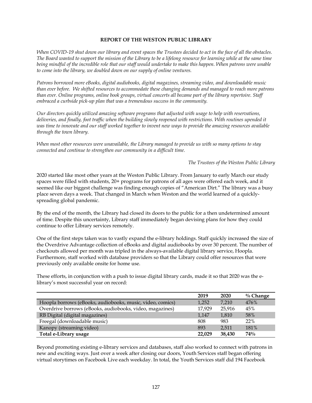### **REPORT OF THE WESTON PUBLIC LIBRARY**

*When COVID-19 shut down our library and event spaces the Trustees decided to act in the face of all the obstacles. The Board wanted to support the mission of the Library to be a lifelong resource for learning while at the same time being mindful of the incredible role that our staff would undertake to make this happen. When patrons were unable to come into the library, we doubled down on our supply of online ventures.*

*Patrons borrowed more eBooks, digital audiobooks, digital magazines, streaming video, and downloadable music than ever before. We shifted resources to accommodate these changing demands and managed to reach more patrons than ever. Online programs, online book groups, virtual concerts all became part of the library repertoire. Staff embraced a curbside pick-up plan that was a tremendous success in the community.*

*Our directors quickly utilized amazing software programs that adjusted with usage to help with reservations, deliveries, and finally, foot traffic when the building slowly reopened with restrictions. With routines upended it was time to innovate and our staff worked together to invent new ways to provide the amazing resources available through the town library.*

*When most other resources were unavailable, the Library managed to provide us with so many options to stay connected and continue to strengthen our community in a difficult time.*

*The Trustees of the Weston Public Library*

2020 started like most other years at the Weston Public Library. From January to early March our study spaces were filled with students, 20+ programs for patrons of all ages were offered each week, and it seemed like our biggest challenge was finding enough copies of "American Dirt." The library was a busy place seven days a week. That changed in March when Weston and the world learned of a quicklyspreading global pandemic.

By the end of the month, the Library had closed its doors to the public for a then undetermined amount of time. Despite this uncertainty, Library staff immediately began devising plans for how they could continue to offer Library services remotely.

One of the first steps taken was to vastly expand the e-library holdings. Staff quickly increased the size of the Overdrive Advantage collection of eBooks and digital audiobooks by over 30 percent. The number of checkouts allowed per month was tripled in the always-available digital library service, Hoopla. Furthermore, staff worked with database providers so that the Library could offer resources that were previously only available onsite for home use.

These efforts, in conjunction with a push to issue digital library cards, made it so that 2020 was the elibrary's most successful year on record:

|                                                           | 2019   | 2020   | $\%$ Change |
|-----------------------------------------------------------|--------|--------|-------------|
| Hoopla borrows (eBooks, audiobooks, music, video, comics) | 1,252  | 7.210  | 476%        |
| Overdrive borrows (eBooks, audiobooks, video, magazines)  | 17,929 | 25,916 | 45%         |
| RB Digital (digital magazines)                            | 1,147  | 1,810  | 58%         |
| Freegal (downloadable music)                              | 808    | 983    | 22%         |
| Kanopy (streaming video)                                  | 893    | 2.511  | 181%        |
| Total e-Library usage                                     | 22.029 | 38,430 | 74%         |

Beyond promoting existing e-library services and databases, staff also worked to connect with patrons in new and exciting ways. Just over a week after closing our doors, Youth Services staff began offering virtual storytimes on Facebook Live each weekday. In total, the Youth Services staff did 194 Facebook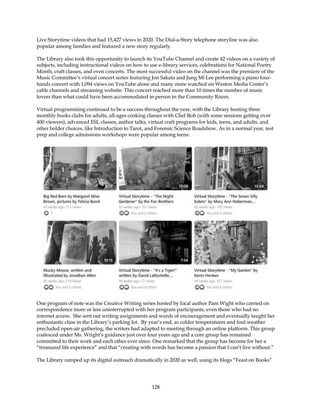Live Storytime videos that had 15,427 views in 2020. The Dial-a-Story telephone storyline was also popular among families and featured a new story regularly.

The Library also took this opportunity to launch its YouTube Channel and create 42 videos on a variety of subjects, including instructional videos on how to use e-library services, celebrations for National Poetry Month, craft classes, and even concerts. The most successful video on the channel was the premiere of the Music Committee's virtual concert series featuring Jon Sakata and Jung Mi Lee performing a piano fourhands concert with 1,094 views on YouTube alone and many more watched on Weston Media Center's cable channels and streaming website. This concert reached more than 10 times the number of music lovers than what could have been accommodated in person in the Community Room.

Virtual programming continued to be a success throughout the year, with the Library hosting three monthly books clubs for adults, all-ages cooking classes with Chef Rob (with some sessions getting over 400 viewers), advanced ESL classes, author talks, virtual craft programs for kids, teens, and adults, and other bolder choices, like Introduction to Tarot, and Forensic Science Roadshow. As in a normal year, test prep and college admissions workshops were popular among teens.



Big Red Barn by Margaret Wise Brown, pictures by Felicia Bond 43 weeks ago - 115 Views 07

Virtual Storytime - "The Night Gardener" by the Fan Brothers 43 weeks ago - 101 Views OO You and 6 others

13-34

Virtual Storytime - "The Seven Silly Eaters" by Mary Ann Hoberman,... 43 weeks ago - 105 Views **OO** You and 8 others



Mucky Moose, written and illlustrated by Jonathan Allen 43 weeks ago - 214 Views **OD** You and 5 others



Virtual Storytime - "It's a Tiger!" written by David LaRochelle,... 44 weeks ago - 77 Views **OD** You and 8 others



Virtual Storytime - "My Garden" by **Kevin Henkes** 44 weeks ago. 421 Views **OO** You and 8 others

One program of note was the Creative Writing series hosted by local author Pam Wight who carried on correspondence more or less uninterrupted with her program participants, even those who had no internet access. She sent out writing assignments and words of encouragement and eventually taught her enthusiastic class in the Library's parking lot. By year's end, as colder temperatures and foul weather precluded open-air gathering, the writers had adapted to meeting through an online platform. This group coalesced under Ms. Wright's guidance just over four years ago and a core group has remained committed to their work and each other ever since. One remarked that the group has become for her a "treasured life experience" and that "creating with words has become a passion that I can't live without."

The Library ramped up its digital outreach dramatically in 2020 as well, using its blogs "Feast on Books"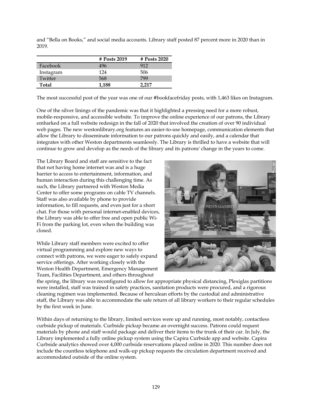|       |  | and "Bella on Books," and social media accounts. Library staff posted 87 percent more in 2020 than in |
|-------|--|-------------------------------------------------------------------------------------------------------|
| 2019. |  |                                                                                                       |

|              | # Posts 2019 | # Posts 2020 |
|--------------|--------------|--------------|
| Facebook     | 496          | 912          |
| Instagram    | 124          | 506          |
| Twitter      | 568          | 799          |
| <b>Total</b> | 1,188        | 2.217        |

The most successful post of the year was one of our #bookfacefriday posts, with 1,463 likes on Instagram.

One of the silver linings of the pandemic was that it highlighted a pressing need for a more robust, mobile-responsive, and accessible website. To improve the online experience of our patrons, the Library embarked on a full website redesign in the fall of 2020 that involved the creation of over 90 individual web pages. The new westonlibrary.org features an easier-to-use homepage, communication elements that allow the Library to disseminate information to our patrons quickly and easily, and a calendar that integrates with other Weston departments seamlessly. The Library is thrilled to have a website that will continue to grow and develop as the needs of the library and its patrons' change in the years to come.

The Library Board and staff are sensitive to the fact that not having home internet was and is a huge barrier to access to entertainment, information, and human interaction during this challenging time. As such, the Library partnered with Weston Media Center to offer some programs on cable TV channels. Staff was also available by phone to provide information, to fill requests, and even just for a short chat. For those with personal internet-enabled devices, the Library was able to offer free and open public Wi-Fi from the parking lot, even when the building was closed.

While Library staff members were excited to offer virtual programming and explore new ways to connect with patrons, we were eager to safely expand service offerings. After working closely with the Weston Health Department, Emergency Management Team, Facilities Department, and others throughout



the spring, the library was reconfigured to allow for appropriate physical distancing, Plexiglas partitions were installed, staff was trained in safety practices, sanitation products were procured, and a rigorous cleaning regimen was implemented. Because of herculean efforts by the custodial and administrative staff, the Library was able to accommodate the safe return of all library workers to their regular schedules by the first week in June.

Within days of returning to the library, limited services were up and running, most notably, contactless curbside pickup of materials. Curbside pickup became an overnight success. Patrons could request materials by phone and staff would package and deliver their items to the trunk of their car. In July, the Library implemented a fully online pickup system using the Capira Curbside app and website. Capira Curbside analytics showed over 4,000 curbside reservations placed online in 2020. This number does not include the countless telephone and walk-up pickup requests the circulation department received and accommodated outside of the online system.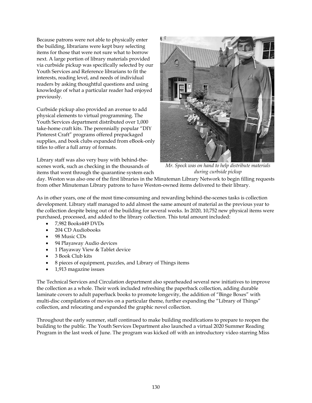Because patrons were not able to physically enter the building, librarians were kept busy selecting items for those that were not sure what to borrow next. A large portion of library materials provided via curbside pickup was specifically selected by our Youth Services and Reference librarians to fit the interests, reading level, and needs of individual readers by asking thoughtful questions and using knowledge of what a particular reader had enjoyed previously.

Curbside pickup also provided an avenue to add physical elements to virtual programming. The Youth Services department distributed over 1,000 take-home craft kits. The perennially popular "DIY Pinterest Craft" programs offered prepackaged supplies, and book clubs expanded from eBook-only titles to offer a full array of formats.

Library staff was also very busy with behind-thescenes work, such as checking in the thousands of items that went through the quarantine system each



*Mr. Spock was on hand to help distribute materials during curbside pickup*

day. Weston was also one of the first libraries in the Minuteman Library Network to begin filling requests from other Minuteman Library patrons to have Weston-owned items delivered to their library.

As in other years, one of the most time-consuming and rewarding behind-the-scenes tasks is collection development. Library staff managed to add almost the same amount of material as the previous year to the collection despite being out of the building for several weeks. In 2020, 10,752 new physical items were purchased, processed, and added to the library collection. This total amount included:

- 7,982 Books449 DVDs
- 204 CD Audiobooks
- 98 Music CDs
- 94 Playaway Audio devices
- 1 Playaway View & Tablet device
- 3 Book Club kits
- 8 pieces of equipment, puzzles, and Library of Things items
- 1,913 magazine issues

The Technical Services and Circulation department also spearheaded several new initiatives to improve the collection as a whole. Their work included refreshing the paperback collection, adding durable laminate covers to adult paperback books to promote longevity, the addition of "Binge Boxes" with multi-disc compilations of movies on a particular theme, further expanding the "Library of Things" collection, and relocating and expanded the graphic novel collection.

Throughout the early summer, staff continued to make building modifications to prepare to reopen the building to the public. The Youth Services Department also launched a virtual 2020 Summer Reading Program in the last week of June. The program was kicked off with an introductory video starring Miss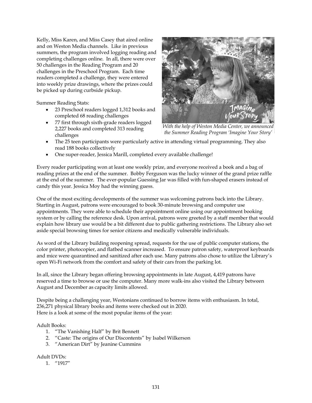Kelly, Miss Karen, and Miss Casey that aired online and on Weston Media channels. Like in previous summers, the program involved logging reading and completing challenges online. In all, there were over 50 challenges in the Reading Program and 20 challenges in the Preschool Program. Each time readers completed a challenge, they were entered into weekly prize drawings, where the prizes could be picked up during curbside pickup.

Summer Reading Stats:

- 23 Preschool readers logged 1,312 books and completed 68 reading challenges
- 77 first through sixth-grade readers logged 2,227 books and completed 313 reading challenges



*With the help of Weston Media Center, we announced the Summer Reading Program 'Imagine Your Story'*

- The 25 teen participants were particularly active in attending virtual programming. They also read 188 books collectively
- One super-reader, Jessica Marill, completed every available challenge!

Every reader participating won at least one weekly prize, and everyone received a book and a bag of reading prizes at the end of the summer. Bobby Ferguson was the lucky winner of the grand prize raffle at the end of the summer. The ever-popular Guessing Jar was filled with fun-shaped erasers instead of candy this year. Jessica Moy had the winning guess.

One of the most exciting developments of the summer was welcoming patrons back into the Library. Starting in August, patrons were encouraged to book 30-minute browsing and computer use appointments. They were able to schedule their appointment online using our appointment booking system or by calling the reference desk. Upon arrival, patrons were greeted by a staff member that would explain how library use would be a bit different due to public gathering restrictions. The Library also set aside special browsing times for senior citizens and medically vulnerable individuals.

As word of the Library building reopening spread, requests for the use of public computer stations, the color printer, photocopier, and flatbed scanner increased. To ensure patron safety, waterproof keyboards and mice were quarantined and sanitized after each use. Many patrons also chose to utilize the Library's open Wi-Fi network from the comfort and safety of their cars from the parking lot.

In all, since the Library began offering browsing appointments in late August, 4,419 patrons have reserved a time to browse or use the computer. Many more walk-ins also visited the Library between August and December as capacity limits allowed.

Despite being a challenging year, Westonians continued to borrow items with enthusiasm. In total, 236,271 physical library books and items were checked out in 2020. Here is a look at some of the most popular items of the year:

Adult Books:

- 1. "The Vanishing Half" by Brit Bennett
- 2. "Caste: The origins of Our Discontents" by Isabel Wilkerson
- 3. "American Dirt" by Jeanine Cummins

Adult DVDs:

1. "1917"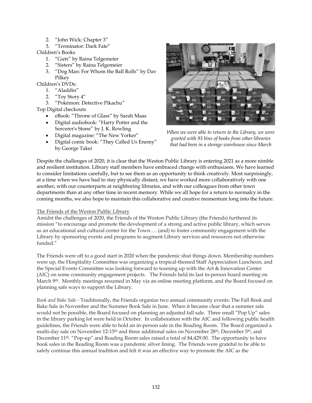- 2. "John Wick: Chapter 3"
- 3. "Terminator: Dark Fate"

Children's Books

- 1. "Guts" by Raina Telgemeier
- 2. "Sisters" by Raina Telgemeier
- 3. "Dog Man: For Whom the Ball Rolls" by Dav Pilkey

Children's DVDs:

- 1. "Aladdin"
- 2. "Toy Story 4"
- 3. "Pokémon: Detective Pikachu"

Top Digital checkouts

- eBook: "Throne of Glass" by Sarah Maas
- Digital audiobook: "Harry Potter and the Sorcerer's Stone" by J. K. Rowling
- Digital magazine: "The New Yorker"
- Digital comic book: "They Called Us Enemy" by George Takei



*When we were able to return to the Library, we were greeted with 93 bins of books from other libraries that had been in a storage warehouse since March*

Despite the challenges of 2020, it is clear that the Weston Public Library is entering 2021 as a more nimble and resilient institution. Library staff members have embraced change with enthusiasm. We have learned to consider limitations carefully, but to see them as an opportunity to think creatively. Most surprisingly, at a time when we have had to stay physically distant, we have worked more collaboratively with one another, with our counterparts at neighboring libraries, and with our colleagues from other town departments than at any other time in recent memory. While we all hope for a return to normalcy in the coming months, we also hope to maintain this collaborative and creative momentum long into the future.

# The Friends of the Weston Public Library

Amidst the challenges of 2020, the Friends of the Weston Public Library (the Friends) furthered its mission "to encourage and promote the development of a strong and active public library, which serves as an educational and cultural center for the Town…. (and) to foster community engagement with the Library by sponsoring events and programs to augment Library services and resources not otherwise funded."

The Friends were off to a good start in 2020 when the pandemic shut things down. Membership numbers were up, the Hospitality Committee was organizing a tropical-themed Staff Appreciation Luncheon, and the Special Events Committee was looking forward to teaming up with the Art & Innovation Center (AIC) on some community engagement projects. The Friends held its last in-person board meeting on March 9<sup>th</sup>. Monthly meetings resumed in May via an online meeting platform, and the Board focused on planning safe ways to support the Library.

*Book and Bake Sale -* Traditionally, the Friends organize two annual community events: The Fall Book and Bake Sale in November and the Summer Book Sale in June. When it became clear that a summer sale would not be possible, the Board focused on planning an adjusted fall sale. Three small "Pop Up" sales in the library parking lot were held in October. In collaboration with the AIC and following public health guidelines, the Friends were able to hold an in-person sale in the Reading Room. The Board organized a multi-day sale on November 12-15th and three additional sales on November 28th, December 5th, and December 11<sup>th</sup>. "Pop-up" and Reading Room sales raised a total of \$4,429.00. The opportunity to have book sales in the Reading Room was a pandemic silver lining. The Friends were grateful to be able to safely continue this annual tradition and felt it was an effective way to promote the AIC as the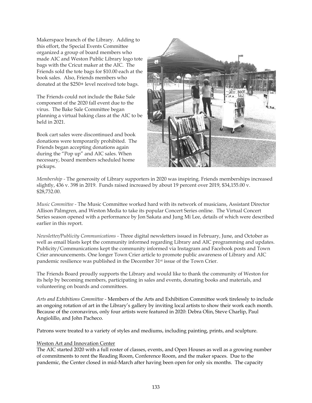Makerspace branch of the Library. Adding to this effort, the Special Events Committee organized a group of board members who made AIC and Weston Public Library logo tote bags with the Cricut maker at the AIC. The Friends sold the tote bags for \$10.00 each at the book sales. Also, Friends members who donated at the \$250+ level received tote bags.

The Friends could not include the Bake Sale component of the 2020 fall event due to the virus. The Bake Sale Committee began planning a virtual baking class at the AIC to be held in 2021.

Book cart sales were discontinued and book donations were temporarily prohibited. The Friends began accepting donations again during the "Pop up" and AIC sales. When necessary, board members scheduled home pickups.



*Membership -* The generosity of Library supporters in 2020 was inspiring. Friends memberships increased slightly, 436 v. 398 in 2019. Funds raised increased by about 19 percent over 2019, \$34,155.00 v. \$28,732.00.

*Music Committee -* The Music Committee worked hard with its network of musicians, Assistant Director Allison Palmgren, and Weston Media to take its popular Concert Series online. The Virtual Concert Series season opened with a performance by Jon Sakata and Jung Mi Lee, details of which were described earlier in this report.

*Newsletter/Publicity Communications -* Three digital newsletters issued in February, June, and October as well as email blasts kept the community informed regarding Library and AIC programming and updates. Publicity/Communications kept the community informed via Instagram and Facebook posts and Town Crier announcements. One longer Town Crier article to promote public awareness of Library and AIC pandemic resilience was published in the December 31<sup>st</sup> issue of the Town Crier.

The Friends Board proudly supports the Library and would like to thank the community of Weston for its help by becoming members, participating in sales and events, donating books and materials, and volunteering on boards and committees.

*Arts and Exhibitions Committee -* Members of the Arts and Exhibition Committee work tirelessly to include an ongoing rotation of art in the Library's gallery by inviting local artists to show their work each month. Because of the coronavirus, only four artists were featured in 2020: Debra Olin, Steve Charlip, Paul Angiolillo, and John Pacheco.

Patrons were treated to a variety of styles and mediums, including painting, prints, and sculpture.

# Weston Art and Innovation Center

The AIC started 2020 with a full roster of classes, events, and Open Houses as well as a growing number of commitments to rent the Reading Room, Conference Room, and the maker spaces. Due to the pandemic, the Center closed in mid-March after having been open for only six months. The capacity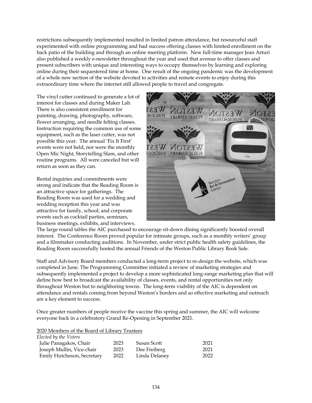restrictions subsequently implemented resulted in limited patron attendance, but resourceful staff experimented with online programming and had success offering classes with limited enrollment on the back patio of the building and through an online meeting platform. New full-time manager Jean Arturi also published a weekly e-newsletter throughout the year and used that avenue to offer classes and present subscribers with unique and interesting ways to occupy themselves by learning and exploring online during their sequestered time at home. One result of the ongoing pandemic was the development of a whole new section of the website devoted to activities and remote events to enjoy during this extraordinary time where the internet still allowed people to travel and congregate.

The vinyl cutter continued to generate a lot of interest for classes and during Maker Lab. There is also consistent enrollment for painting, drawing, photography, software, flower arranging, and needle felting classes. Instruction requiring the common use of some equipment, such as the laser cutter, was not possible this year. The annual 'Fix It First' events were not held, nor were the monthly Open Mic Night, Storytelling Slam, and other routine programs. All were canceled but will return as soon as they can.

Rental inquiries and commitments were strong and indicate that the Reading Room is an attractive space for gatherings. The Reading Room was used for a wedding and wedding reception this year and was attractive for family, school, and corporate events such as cocktail parties, seminars, business meetings, exhibits, and interviews.



The large round tables the AIC purchased to encourage sit-down dining significantly boosted overall interest. The Conference Room proved popular for intimate groups, such as a monthly writers' group and a filmmaker conducting auditions. In November, under strict public health safety guidelines, the Reading Room successfully hosted the annual Friends of the Weston Public Library Book Sale.

Staff and Advisory Board members conducted a long-term project to re-design the website, which was completed in June. The Programming Committee initiated a review of marketing strategies and subsequently implemented a project to develop a more sophisticated long-range marketing plan that will define how best to broadcast the availability of classes, events, and rental opportunities not only throughout Weston but to neighboring towns. The long-term viability of the AIC is dependent on attendance and rentals coming from beyond Weston's borders and so effective marketing and outreach are a key element to success.

Once greater numbers of people receive the vaccine this spring and summer, the AIC will welcome everyone back in a celebratory Grand Re-Opening in September 2021.

| 2020 Members of the Board of Library Trustees |  |  |  |
|-----------------------------------------------|--|--|--|
|                                               |  |  |  |

| Elected by the Voters      |      |               |      |
|----------------------------|------|---------------|------|
| Julie Panagakos, Chair     | 2023 | Susan Scott   | 2021 |
| Joseph Mullin, Vice-chair  | 2023 | Dee Freiberg  | 2021 |
| Emily Hutcheson, Secretary | 2022 | Linda Delaney | 2022 |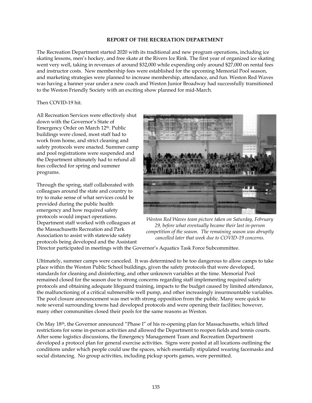### **REPORT OF THE RECREATION DEPARTMENT**

The Recreation Department started 2020 with its traditional and new program operations, including ice skating lessons, men's hockey, and free skate at the Rivers Ice Rink. The first year of organized ice skating went very well, taking in revenues of around \$32,000 while expending only around \$27,000 on rental fees and instructor costs. New membership fees were established for the upcoming Memorial Pool season, and marketing strategies were planned to increase membership, attendance, and fun. Weston Red Waves was having a banner year under a new coach and Weston Junior Broadway had successfully transitioned to the Weston Friendly Society with an exciting show planned for mid-March.

Then COVID-19 hit.

All Recreation Services were effectively shut down with the Governor's State of Emergency Order on March 12th. Public buildings were closed, most staff had to work from home, and strict cleaning and safety protocols were enacted. Summer camp and pool registrations were suspended and the Department ultimately had to refund all fees collected for spring and summer programs.

Through the spring, staff collaborated with colleagues around the state and country to try to make sense of what services could be provided during the public health emergency and how required safety protocols would impact operations. Department staff worked with colleagues at the Massachusetts Recreation and Park Association to assist with statewide safety protocols being developed and the Assistant



*Weston Red Waves team picture taken on Saturday, February 29, before what eventually became their last in-person competition of the season. The remaining season was abruptly cancelled later that week due to COVID-19 concerns.*

Director participated in meetings with the Governor's Aquatics Task Force Subcommittee.

Ultimately, summer camps were canceled. It was determined to be too dangerous to allow camps to take place within the Weston Public School buildings, given the safety protocols that were developed, standards for cleaning and disinfecting, and other unknown variables at the time. Memorial Pool remained closed for the season due to strong concerns regarding staff implementing required safety protocols and obtaining adequate lifeguard training, impacts to the budget caused by limited attendance, the malfunctioning of a critical submersible well pump, and other increasingly insurmountable variables. The pool closure announcement was met with strong opposition from the public. Many were quick to note several surrounding towns had developed protocols and were opening their facilities; however, many other communities closed their pools for the same reasons as Weston.

On May 18th, the Governor announced "Phase I" of his re-opening plan for Massachusetts, which lifted restrictions for some in-person activities and allowed the Department to reopen fields and tennis courts. After some logistics discussions, the Emergency Management Team and Recreation Department developed a protocol plan for general exercise activities. Signs were posted at all locations outlining the conditions under which people could use the spaces, which essentially stipulated wearing facemasks and social distancing. No group activities, including pickup sports games, were permitted.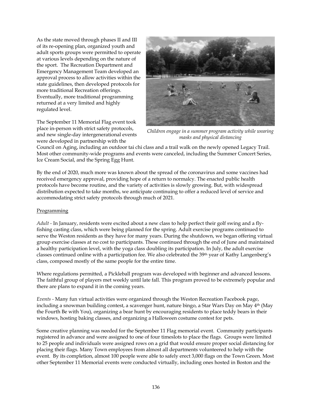As the state moved through phases II and III of its re-opening plan, organized youth and adult sports groups were permitted to operate at various levels depending on the nature of the sport. The Recreation Department and Emergency Management Team developed an approval process to allow activities within the state guidelines, then developed protocols for more traditional Recreation offerings. Eventually, more traditional programming returned at a very limited and highly regulated level.

The September 11 Memorial Flag event took place in-person with strict safety protocols, and new single-day intergenerational events were developed in partnership with the



*Children engage in a summer program activity while wearing masks and physical distancing*

Council on Aging, including an outdoor tai chi class and a trail walk on the newly opened Legacy Trail. Most other community-wide programs and events were canceled, including the Summer Concert Series, Ice Cream Social, and the Spring Egg Hunt.

By the end of 2020, much more was known about the spread of the coronavirus and some vaccines had received emergency approval, providing hope of a return to normalcy. The enacted public health protocols have become routine, and the variety of activities is slowly growing. But, with widespread distribution expected to take months, we anticipate continuing to offer a reduced level of service and accommodating strict safety protocols through much of 2021.

# Programming

*Adult -* In January, residents were excited about a new class to help perfect their golf swing and a flyfishing casting class, which were being planned for the spring. Adult exercise programs continued to serve the Weston residents as they have for many years. During the shutdown, we began offering virtual group exercise classes at no cost to participants. These continued through the end of June and maintained a healthy participation level, with the yoga class doubling its participation. In July, the adult exercise classes continued online with a participation fee. We also celebrated the 39th year of Kathy Langenberg's class, composed mostly of the same people for the entire time.

Where regulations permitted, a Pickleball program was developed with beginner and advanced lessons. The faithful group of players met weekly until late fall. This program proved to be extremely popular and there are plans to expand it in the coming years.

*Events -* Many fun virtual activities were organized through the Weston Recreation Facebook page, including a snowman building contest, a scavenger hunt, nature bingo, a Star Wars Day on May 4 th (May the Fourth Be with You), organizing a bear hunt by encouraging residents to place teddy bears in their windows, hosting baking classes, and organizing a Halloween costume contest for pets.

Some creative planning was needed for the September 11 Flag memorial event. Community participants registered in advance and were assigned to one of four timeslots to place the flags. Groups were limited to 25 people and individuals were assigned rows on a grid that would ensure proper social distancing for placing their flags. Many Town employees from almost all departments volunteered to help with the event. By its completion, almost 100 people were able to safely erect 3,000 flags on the Town Green. Most other September 11 Memorial events were conducted virtually, including ones hosted in Boston and the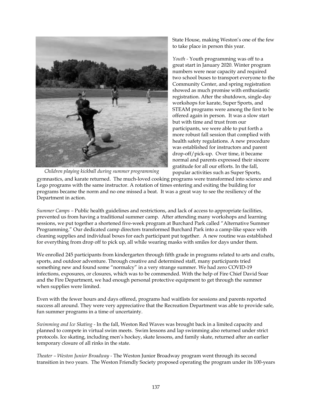

*Children playing kickball during summer programming*

State House, making Weston's one of the few to take place in person this year.

*Youth -* Youth programming was off to a great start in January 2020. Winter program numbers were near capacity and required two school buses to transport everyone to the Community Center, and spring registration showed as much promise with enthusiastic registration. After the shutdown, single-day workshops for karate, Super Sports, and STEAM programs were among the first to be offered again in person. It was a slow start but with time and trust from our participants, we were able to put forth a more robust fall session that complied with health safety regulations. A new procedure was established for instructors and parent drop-off/pick-up. Over time, it became normal and parents expressed their sincere gratitude for all our efforts. In the fall, popular activities such as Super Sports,

gymnastics, and karate returned. The much-loved cooking programs were transformed into science and Lego programs with the same instructor. A rotation of times entering and exiting the building for programs became the norm and no one missed a beat. It was a great way to see the resiliency of the Department in action.

*Summer Camps –* Public health guidelines and restrictions, and lack of access to appropriate facilities, prevented us from having a traditional summer camp. After attending many workshops and learning sessions, we put together a shortened five-week program at Burchard Park called "Alternative Summer Programming." Our dedicated camp directors transformed Burchard Park into a camp-like space with cleaning supplies and individual boxes for each participant put together. A new routine was established for everything from drop off to pick up, all while wearing masks with smiles for days under them.

We enrolled 245 participants from kindergarten through fifth grade in programs related to arts and crafts, sports, and outdoor adventure. Through creative and determined staff, many participants tried something new and found some "normalcy" in a very strange summer. We had zero COVID-19 infections, exposures, or closures, which was to be commended. With the help of Fire Chief David Soar and the Fire Department, we had enough personal protective equipment to get through the summer when supplies were limited.

Even with the fewer hours and days offered, programs had waitlists for sessions and parents reported success all around. They were very appreciative that the Recreation Department was able to provide safe, fun summer programs in a time of uncertainty.

*Swimming and Ice Skating -* In the fall, Weston Red Waves was brought back in a limited capacity and planned to compete in virtual swim meets. Swim lessons and lap swimming also returned under strict protocols. Ice skating, including men's hockey, skate lessons, and family skate, returned after an earlier temporary closure of all rinks in the state.

*Theater – Weston Junior Broadway -* The Weston Junior Broadway program went through its second transition in two years. The Weston Friendly Society proposed operating the program under its 100-years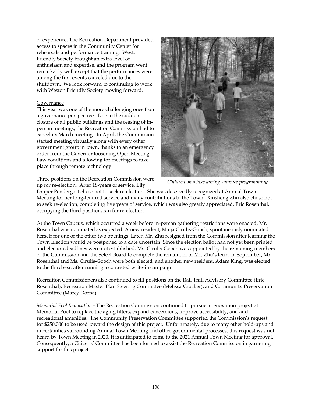of experience. The Recreation Department provided access to spaces in the Community Center for rehearsals and performance training. Weston Friendly Society brought an extra level of enthusiasm and expertise, and the program went remarkably well except that the performances were among the first events canceled due to the shutdown. We look forward to continuing to work with Weston Friendly Society moving forward.

### Governance

This year was one of the more challenging ones from a governance perspective. Due to the sudden closure of all public buildings and the ceasing of inperson meetings, the Recreation Commission had to cancel its March meeting. In April, the Commission started meeting virtually along with every other government group in town, thanks to an emergency order from the Governor loosening Open Meeting Law conditions and allowing for meetings to take place through remote technology.

Three positions on the Recreation Commission were up for re-election. After 18-years of service, Elly



*Children on a hike during summer programming*

Draper Pendergast chose not to seek re-election. She was deservedly recognized at Annual Town Meeting for her long-tenured service and many contributions to the Town. Xinsheng Zhu also chose not to seek re-election, completing five years of service, which was also greatly appreciated. Eric Rosenthal, occupying the third position, ran for re-election.

At the Town Caucus, which occurred a week before in-person gathering restrictions were enacted, Mr. Rosenthal was nominated as expected. A new resident, Maija Cirulis-Gooch, spontaneously nominated herself for one of the other two openings. Later, Mr. Zhu resigned from the Commission after learning the Town Election would be postponed to a date uncertain. Since the election ballot had not yet been printed and election deadlines were not established, Ms. Cirulis-Gooch was appointed by the remaining members of the Commission and the Select Board to complete the remainder of Mr. Zhu's term. In September, Mr. Rosenthal and Ms. Cirulis-Gooch were both elected, and another new resident, Adam King, was elected to the third seat after running a contested write-in campaign.

Recreation Commissioners also continued to fill positions on the Rail Trail Advisory Committee (Eric Rosenthal), Recreation Master Plan Steering Committee (Melissa Crocker), and Community Preservation Committee (Marcy Dorna).

*Memorial Pool Renovation -* The Recreation Commission continued to pursue a renovation project at Memorial Pool to replace the aging filters, expand concessions, improve accessibility, and add recreational amenities. The Community Preservation Committee supported the Commission's request for \$250,000 to be used toward the design of this project. Unfortunately, due to many other hold-ups and uncertainties surrounding Annual Town Meeting and other governmental processes, this request was not heard by Town Meeting in 2020. It is anticipated to come to the 2021 Annual Town Meeting for approval. Consequently, a Citizens' Committee has been formed to assist the Recreation Commission in garnering support for this project.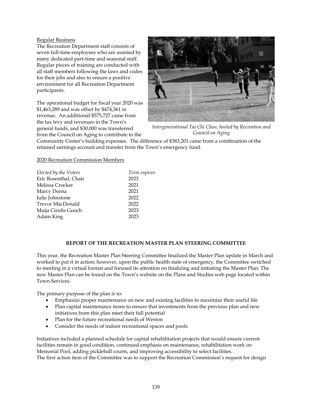#### Regular Business

The Recreation Department staff consists of seven full-time employees who are assisted by many dedicated part-time and seasonal staff. Regular pieces of training are conducted with all staff members following the laws and codes for their jobs and also to ensure a positive environment for all Recreation Department participants.

The operational budget for fiscal year 2020 was \$1,463,289 and was offset by \$474,361 in revenue. An additional \$575,727 came from the tax levy and revenues in the Town's general funds, and \$30,000 was transferred from the Council on Aging to contribute to the



*Intergenerational Tai Chi Class, hosted by Recreation and Council on Aging*

Community Center's building expenses. The difference of \$383,201 came from a combination of the retained earnings account and transfer from the Town's emergency fund.

#### 2020 Recreation Commission Members

| Elected by the Voters | Term expires |
|-----------------------|--------------|
| Eric Rosenthal, Chair | 2023         |
| Melissa Crocker       | 2021         |
| Marcy Dorna           | 2021         |
| Julie Johnstone       | 2022         |
| Trevor MacDonald      | 2022         |
| Maija Cirulis Gooch   | 2023         |
| Adam King             | 2023         |
|                       |              |

### **REPORT OF THE RECREATION MASTER PLAN STEERING COMMITTEE**

This year, the Recreation Master Plan Steering Committee finalized the Master Plan update in March and worked to put it in action; however, upon the public health state of emergency, the Committee switched to meeting in a virtual format and focused its attention on finalizing and initiating the Master Plan. The new Master Plan can be found on the Town's website on the Plans and Studies web page located within Town Services.

The primary purpose of the plan is to:

- Emphasize proper maintenance on new and existing facilities to maximize their useful life
- Plan capital maintenance items to ensure that investments from the previous plan and new initiatives from this plan meet their full potential
- Plan for the future recreational needs of Weston
- Consider the needs of indoor recreational spaces and pools

Initiatives included a planned schedule for capital rehabilitation projects that would ensure current facilities remain in good condition, continued emphasis on maintenance, rehabilitation work on Memorial Pool, adding pickleball courts, and improving accessibility to select facilities. The first action item of the Committee was to support the Recreation Commission's request for design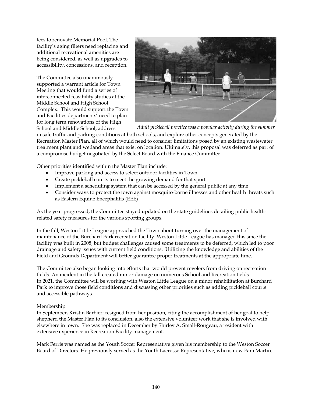fees to renovate Memorial Pool. The facility's aging filters need replacing and additional recreational amenities are being considered, as well as upgrades to accessibility, concessions, and reception.

The Committee also unanimously supported a warrant article for Town Meeting that would fund a series of interconnected feasibility studies at the Middle School and High School Complex. This would support the Town and Facilities departments' need to plan for long term renovations of the High School and Middle School, address



*Adult pickleball practice was a popular activity during the summer*

unsafe traffic and parking conditions at both schools, and explore other concepts generated by the Recreation Master Plan, all of which would need to consider limitations posed by an existing wastewater treatment plant and wetland areas that exist on location. Ultimately, this proposal was deferred as part of a compromise budget negotiated by the Select Board with the Finance Committee.

Other priorities identified within the Master Plan include:

- Improve parking and access to select outdoor facilities in Town
- Create pickleball courts to meet the growing demand for that sport
- Implement a scheduling system that can be accessed by the general public at any time
- Consider ways to protect the town against mosquito-borne illnesses and other health threats such as Eastern Equine Encephalitis (EEE)

As the year progressed, the Committee stayed updated on the state guidelines detailing public healthrelated safety measures for the various sporting groups.

In the fall, Weston Little League approached the Town about turning over the management of maintenance of the Burchard Park recreation facility. Weston Little League has managed this since the facility was built in 2008, but budget challenges caused some treatments to be deferred, which led to poor drainage and safety issues with current field conditions. Utilizing the knowledge and abilities of the Field and Grounds Department will better guarantee proper treatments at the appropriate time.

The Committee also began looking into efforts that would prevent revelers from driving on recreation fields. An incident in the fall created minor damage on numerous School and Recreation fields. In 2021, the Committee will be working with Weston Little League on a minor rehabilitation at Burchard Park to improve those field conditions and discussing other priorities such as adding pickleball courts and accessible pathways.

# Membership

In September, Kristin Barbieri resigned from her position, citing the accomplishment of her goal to help shepherd the Master Plan to its conclusion, also the extensive volunteer work that she is involved with elsewhere in town. She was replaced in December by Shirley A. Small-Rougeau, a resident with extensive experience in Recreation Facility management.

Mark Ferris was named as the Youth Soccer Representative given his membership to the Weston Soccer Board of Directors. He previously served as the Youth Lacrosse Representative, who is now Pam Martin.